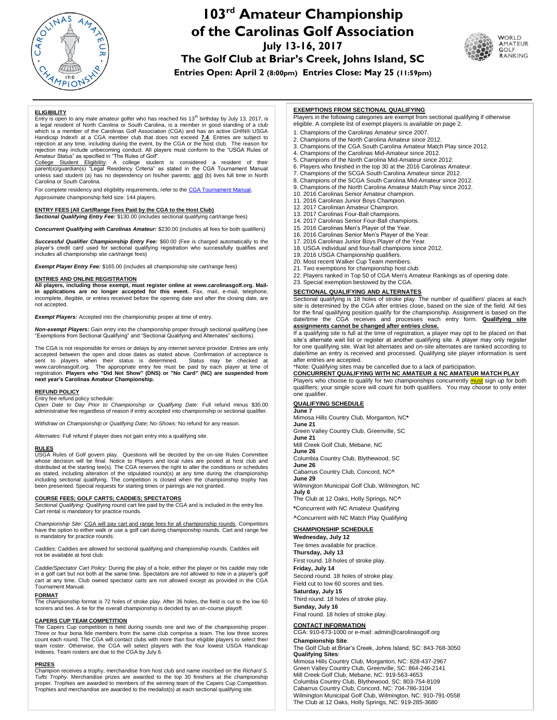

# **103 rd Amateur Championship of the Carolinas Golf Association**

**July 13-16, 2017**

**The Golf Club at Briar's Creek, Johns Island, SC**



**Entries Open: April 2 (8:00pm) Entries Close: May 25 (11:59pm)**

#### **ELIGIBILITY**

Entry is open to any male amateur golfer who has reached his  $13<sup>th</sup>$  birthday by July 13, 2017, is a legal resident of North Carolina or South Carolina, is a member in good standing of a club which is a member of the Carolinas Golf Association (CGA) and has an active GHIN® USGA Handicap Index® at a CGA member club that does not exceed **7.4**. Entries are subject to rejection at any time, including during the event, by the CGA or the host club. The reason for

rejection may include unbecoming conduct. All players must conform to the "USGA Rules of<br>Amateur Status" as specified in "The Rules of Golf".<br>College Student Eligibility: A college student is considered a resident of their Carolina or South Carolina.

For complete residency and eligibility requirements, refer to the CGA Tournament Manual. Approximate championship field size: 144 players.

**ENTRY FEES (All Cart/Range Fees Paid by the CGA to the Host Club)** *Sectional Qualifying Entry Fee:* \$130.00 (includes sectional qualifying cart/range fees)

*Concurrent Qualifying with Carolinas Amateur:* \$230.00 (includes all fees for both qualifiers)

*Successful Qualifier Championship Entry Fee:* \$60.00 (Fee is charged automatically to the player's credit card used for sectional qualifying registration who successfully qualifies and includes all championship site cart/range fees)

*Exempt Player Entry Fee:* \$165.00 (includes all championship site cart/range fees)

#### **ENTRIES AND ONLINE REGISTRATION**

**All players, including those exempt, must register online at [www.carolinasgolf.org.](http://www.thecga.org/) Mailin applications are no longer accepted for this event.** Fax, mail, e-mail, telephone, incomplete, illegible, or entries received before the opening date and after the closing date, are not accepted.

*Exempt Players:* Accepted into the championship proper at time of entry.

*Non-exempt Players:* Gain entry into the championship proper through sectional qualifying (see "Exemptions from Sectional Qualifying" and "Sectional Qualifying and Alternates" sections).

The CGA is not responsible for errors or delays by any internet service provider. Entries are only accepted between the open and close dates as stated above. Confirmation of acceptance is<br>sent to players when their status is determined. Status may be checked at sent to players when their status is determined. Status may be checked at<br>www.carolinasgolf.org. The appropriate entry fee must be paid by each player at time of<br>registration. Players who "Did Not Show" (DNS) or "No Card" **next year's Carolinas Amateur Championship.**

#### **REFUND POLICY**

Entry fee refund policy schedule: *Open Date to Day Prior to Championship or Qualifying Date:* Full refund minus \$30.00 administrative fee regardless of reason if entry accepted into championship or sectional qualifier.

*Withdraw on Championship or Qualifying Date; No-Shows:* No refund for any reason.

*Alternates:* Full refund if player does not gain entry into a qualifying site.

#### **RULES**

USGA Rules of Golf govern play. Questions will be decided by the on-site Rules Committee whose decision will be final. Notice to Players and local rules are posted at host club and distributed at the starting tee(s). The CGA reserves the right to alter the conditions or schedules as stated, including alteration of the stipulated round(s) at any time during the championship including sectional qualifying. The competition is closed when the championship trophy has been presented. Special requests for starting times or pairings are not granted.

#### **COURSE FEES; GOLF CARTS; CADDIES; SPECTATORS**

*Sectional Qualifying:* Qualifying round cart fee paid by the CGA and is included in the entry fee. Cart rental is mandatory for practice rounds.

*Championship Site:* CGA will pay cart and range fees for all championship rounds. Competitors have the option to either walk or use a golf cart during championship rounds. Cart and range fee is mandatory for practice rounds.

*Caddies:* Caddies are allowed for sectional qualifying and championship rounds. Caddies will not be available at host club.

*Caddie/Spectator Cart Policy:* During the play of a hole, either the player or his caddie may ride in a golf cart but not both at the same time. Spectators are not allowed to ride in a player's golf cart at any time. Club owned spectator carts are not allowed except as provided in the CGA Tournament Manual.

#### **FORMAT**

The championship format is 72 holes of stroke play. After 36 holes, the field is cut to the low 60 scorers and ties. A tie for the overall championship is decided by an on-course playoff.

**CAPERS CUP TEAM COMPETITION** The Capers Cup competition is held during rounds one and two of the championship proper. Three or four bona fide members from the same club comprise a team. The low three scores count each round. The CGA will contact clubs with more than four eligible players to select their team roster. Otherwise, the CGA will select players with the four lowest USGA Handicap Indexes. Team rosters are due to the CGA by July 6.

#### **PRIZES**

Champion receives a trophy, merchandise from host club and name inscribed on the *Richard S. Tufts Trophy*. Merchandise prizes are awarded to the top 30 finishers at the championship proper. Trophies are awarded to members of the winning team of the Capers Cup Competition. Trophies and merchandise are awarded to the medalist(s) at each sectional qualifying site.

#### **EXEMPTIONS FROM SECTIONAL QUALIFYING**

Players in the following categories are exempt from sectional qualifying if otherwise eligible. A complete list of exempt players is available on page 2.

- 1. Champions of the Carolinas Amateur since 2007.
- 2. Champions of the North Carolina Amateur since 2012.
- 3. Champions of the CGA South Carolina Amateur Match Play since 2012.
- 4. Champions of the Carolinas Mid-Amateur since 2012.
- 5. Champions of the North Carolina Mid-Amateur since 2012.
- 6. Players who finished in the top 30 at the 2016 Carolinas Amateur. 7. Champions of the SCGA South Carolina Amateur since 2012.
- 8. Champions of the SCGA South Carolina Mid-Amateur since 2012.
- 9. Champions of the North Carolina Amateur Match Play since 2012.
- 10. 2016 Carolinas Senior Amateur champion.
- 11. 2016 Carolinas Junior Boys Champion.
- 12. 2017 Carolinian Amateur Champion.
- 13. 2017 Carolinas Four-Ball champions.
- 14. 2017 Carolinas Senior Four-Ball champions.
- 15. 2016 Carolinas Men's Player of the Year.
- 16. 2016 Carolinas Senior Men's Player of the Year.
- 17. 2016 Carolinas Junior Boys Player of the Year.
- 18. USGA individual and four-ball champions since 2012.
- 19. 2016 USGA Championship qualifiers.
- 20. Most recent Walker Cup Team members. 21. Two exemptions for championship host club.
- 22. Players ranked in Top 50 of CGA Men's Amateur Rankings as of opening date.
- 23. Special exemption bestowed by the CGA.

## **SECTIONAL QUALIFYING AND ALTERNATES**

Sectional qualifying is 18 holes of stroke play. The number of qualifiers' places at each site is determined by the CGA after entries close, based on the size of the field. All ties for the final qualifying position qualify for the championship. Assignment is based on the date/time the CGA receives and processes each entry form. **Qualifying site assignments cannot be changed after entries close.**

If a qualifying site is full at the time of registration, a player may opt to be placed on that site's alternate wait list or register at another qualifying site. A player may only register for one qualifying site. Wait list alternates and on-site alternates are ranked according to date/time an entry is received and processed. Qualifying site player information is sent after entries are accepted.

\*Note: Qualifying sites may be cancelled due to a lack of participation.

**CONCURRENT QUALIFYING WITH NC AMATEUR & NC AMATEUR MATCH PLAY** Players who choose to qualify for two championships concurrently **must** sign up for both qualifiers; your single score will count for both qualifiers. You may choose to only enter one qualifier.

### **QUALIFYING SCHEDULE**

**June 7** Mimosa Hills Country Club, Morganton, NC**\* June 21** Green Valley Country Club, Greenville, SC **June 21** Mill Creek Golf Club, Mebane, NC **June 26** Columbia Country Club, Blythewood, SC **June 26** Cabarrus Country Club, Concord, NC**^ June 29** Wilmington Municipal Golf Club, Wilmington, NC **July 6** The Club at 12 Oaks, Holly Springs, NC**^ \***Concurrent with NC Amateur Qualifying **^**Concurrent with NC Match Play Qualifying

#### **CHAMPIONSHIP SCHEDULE**

**Wednesday, July 12** Tee times available for practice. **Thursday, July 13** First round. 18 holes of stroke play. **Friday, July 14** Second round. 18 holes of stroke play. Field cut to low 60 scores and ties. **Saturday, July 15** Third round. 18 holes of stroke play. **Sunday, July 16** Final round. 18 holes of stroke play.

### **CONTACT INFORMATION**

CGA: 910-673-1000 or e-mail[: admin@carolinasgolf.org](mailto:info@carolinasgolf.org) **Championship Site**:

The Golf Club at Briar's Creek, Johns Island, SC: 843-768-3050 **Qualifying Sites**: Mimosa Hills Country Club, Morganton, NC: 828-437-2967

Green Valley Country Club, Greenville, SC: 864-246-2141 Mill Creek Golf Club, Mebane, NC: 919-563-4653 Columbia Country Club, Blythewood, SC: 803-754-8109 Cabarrus Country Club, Concord, NC: 704-786-3104 Wilmington Municipal Golf Club, Wilmington, NC: 910-791-0558 The Club at 12 Oaks, Holly Springs, NC: 919-285-3680